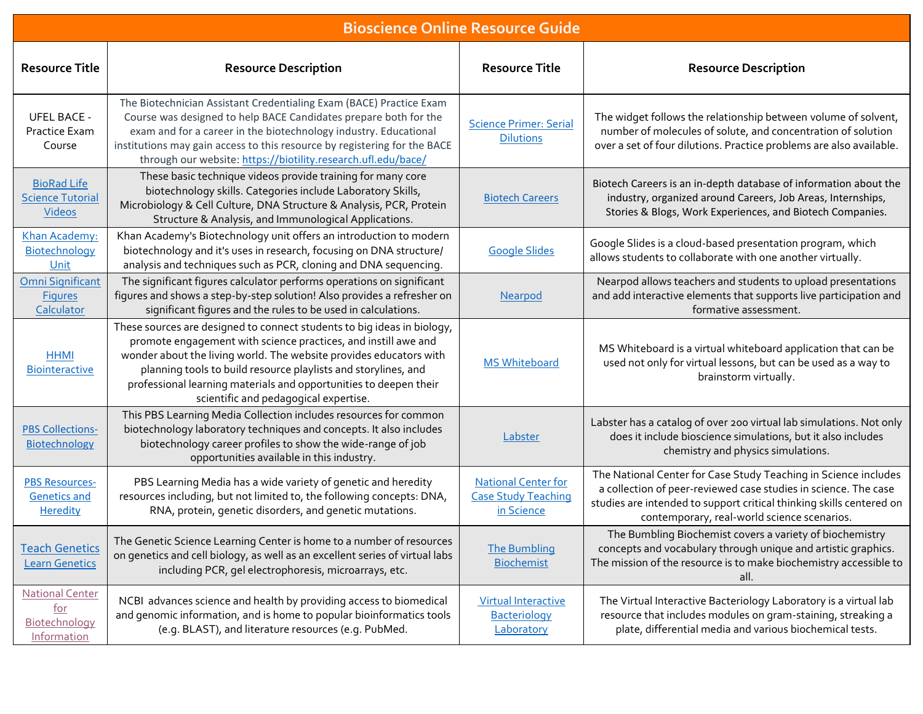| <b>Bioscience Online Resource Guide</b>                              |                                                                                                                                                                                                                                                                                                                                                                                                 |                                                                        |                                                                                                                                                                                                                                                           |  |  |
|----------------------------------------------------------------------|-------------------------------------------------------------------------------------------------------------------------------------------------------------------------------------------------------------------------------------------------------------------------------------------------------------------------------------------------------------------------------------------------|------------------------------------------------------------------------|-----------------------------------------------------------------------------------------------------------------------------------------------------------------------------------------------------------------------------------------------------------|--|--|
| <b>Resource Title</b>                                                | <b>Resource Description</b>                                                                                                                                                                                                                                                                                                                                                                     | <b>Resource Title</b>                                                  | <b>Resource Description</b>                                                                                                                                                                                                                               |  |  |
| <b>UFEL BACE -</b><br>Practice Exam<br>Course                        | The Biotechnician Assistant Credentialing Exam (BACE) Practice Exam<br>Course was designed to help BACE Candidates prepare both for the<br>exam and for a career in the biotechnology industry. Educational<br>institutions may gain access to this resource by registering for the BACE<br>through our website: https://biotility.research.ufl.edu/bace/                                       | <b>Science Primer: Serial</b><br><b>Dilutions</b>                      | The widget follows the relationship between volume of solvent,<br>number of molecules of solute, and concentration of solution<br>over a set of four dilutions. Practice problems are also available.                                                     |  |  |
| <b>BioRad Life</b><br><b>Science Tutorial</b><br>Videos              | These basic technique videos provide training for many core<br>biotechnology skills. Categories include Laboratory Skills,<br>Microbiology & Cell Culture, DNA Structure & Analysis, PCR, Protein<br>Structure & Analysis, and Immunological Applications.                                                                                                                                      | <b>Biotech Careers</b>                                                 | Biotech Careers is an in-depth database of information about the<br>industry, organized around Careers, Job Areas, Internships,<br>Stories & Blogs, Work Experiences, and Biotech Companies.                                                              |  |  |
| Khan Academy:<br>Biotechnology<br>Unit                               | Khan Academy's Biotechnology unit offers an introduction to modern<br>biotechnology and it's uses in research, focusing on DNA structure/<br>analysis and techniques such as PCR, cloning and DNA sequencing.                                                                                                                                                                                   | <b>Google Slides</b>                                                   | Google Slides is a cloud-based presentation program, which<br>allows students to collaborate with one another virtually.                                                                                                                                  |  |  |
| <b>Omni Significant</b><br><b>Figures</b><br>Calculator              | The significant figures calculator performs operations on significant<br>figures and shows a step-by-step solution! Also provides a refresher on<br>significant figures and the rules to be used in calculations.                                                                                                                                                                               | Nearpod                                                                | Nearpod allows teachers and students to upload presentations<br>and add interactive elements that supports live participation and<br>formative assessment.                                                                                                |  |  |
| <b>HHMI</b><br><b>Biointeractive</b>                                 | These sources are designed to connect students to big ideas in biology,<br>promote engagement with science practices, and instill awe and<br>wonder about the living world. The website provides educators with<br>planning tools to build resource playlists and storylines, and<br>professional learning materials and opportunities to deepen their<br>scientific and pedagogical expertise. | <b>MS Whiteboard</b>                                                   | MS Whiteboard is a virtual whiteboard application that can be<br>used not only for virtual lessons, but can be used as a way to<br>brainstorm virtually.                                                                                                  |  |  |
| <b>PBS Collections-</b><br>Biotechnology                             | This PBS Learning Media Collection includes resources for common<br>biotechnology laboratory techniques and concepts. It also includes<br>biotechnology career profiles to show the wide-range of job<br>opportunities available in this industry.                                                                                                                                              | Labster                                                                | Labster has a catalog of over 200 virtual lab simulations. Not only<br>does it include bioscience simulations, but it also includes<br>chemistry and physics simulations.                                                                                 |  |  |
| <b>PBS Resources-</b><br><b>Genetics and</b><br><b>Heredity</b>      | PBS Learning Media has a wide variety of genetic and heredity<br>resources including, but not limited to, the following concepts: DNA,<br>RNA, protein, genetic disorders, and genetic mutations.                                                                                                                                                                                               | <b>National Center for</b><br><b>Case Study Teaching</b><br>in Science | The National Center for Case Study Teaching in Science includes<br>a collection of peer-reviewed case studies in science. The case<br>studies are intended to support critical thinking skills centered on<br>contemporary, real-world science scenarios. |  |  |
| <b>Teach Genetics</b><br><b>Learn Genetics</b>                       | The Genetic Science Learning Center is home to a number of resources<br>on genetics and cell biology, as well as an excellent series of virtual labs<br>including PCR, gel electrophoresis, microarrays, etc.                                                                                                                                                                                   | <b>The Bumbling</b><br><b>Biochemist</b>                               | The Bumbling Biochemist covers a variety of biochemistry<br>concepts and vocabulary through unique and artistic graphics.<br>The mission of the resource is to make biochemistry accessible to<br>all.                                                    |  |  |
| <b>National Center</b><br><u>for</u><br>Biotechnology<br>Information | NCBI advances science and health by providing access to biomedical<br>and genomic information, and is home to popular bioinformatics tools<br>(e.g. BLAST), and literature resources (e.g. PubMed.                                                                                                                                                                                              | <b>Virtual Interactive</b><br>Bacteriology<br>Laboratory               | The Virtual Interactive Bacteriology Laboratory is a virtual lab<br>resource that includes modules on gram-staining, streaking a<br>plate, differential media and various biochemical tests.                                                              |  |  |